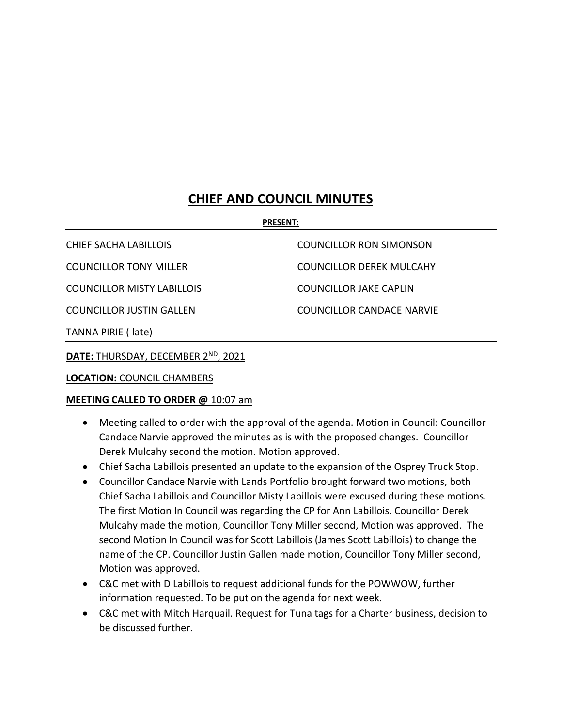### **CHIEF AND COUNCIL MINUTES**

#### **PRESENT:**

CHIEF SACHA LABILLOIS COUNCILLOR RON SIMONSON COUNCILLOR TONY MILLER COUNCILLOR DEREK MULCAHY COUNCILLOR MISTY LABILLOIS COUNCILLOR JAKE CAPLIN COUNCILLOR JUSTIN GALLEN COUNCILLOR CANDACE NARVIE TANNA PIRIE ( late)

**DATE:** THURSDAY, DECEMBER 2ND, 2021

**LOCATION:** COUNCIL CHAMBERS

### **MEETING CALLED TO ORDER @** 10:07 am

- Meeting called to order with the approval of the agenda. Motion in Council: Councillor Candace Narvie approved the minutes as is with the proposed changes. Councillor Derek Mulcahy second the motion. Motion approved.
- Chief Sacha Labillois presented an update to the expansion of the Osprey Truck Stop.
- Councillor Candace Narvie with Lands Portfolio brought forward two motions, both Chief Sacha Labillois and Councillor Misty Labillois were excused during these motions. The first Motion In Council was regarding the CP for Ann Labillois. Councillor Derek Mulcahy made the motion, Councillor Tony Miller second, Motion was approved. The second Motion In Council was for Scott Labillois (James Scott Labillois) to change the name of the CP. Councillor Justin Gallen made motion, Councillor Tony Miller second, Motion was approved.
- C&C met with D Labillois to request additional funds for the POWWOW, further information requested. To be put on the agenda for next week.
- C&C met with Mitch Harquail. Request for Tuna tags for a Charter business, decision to be discussed further.